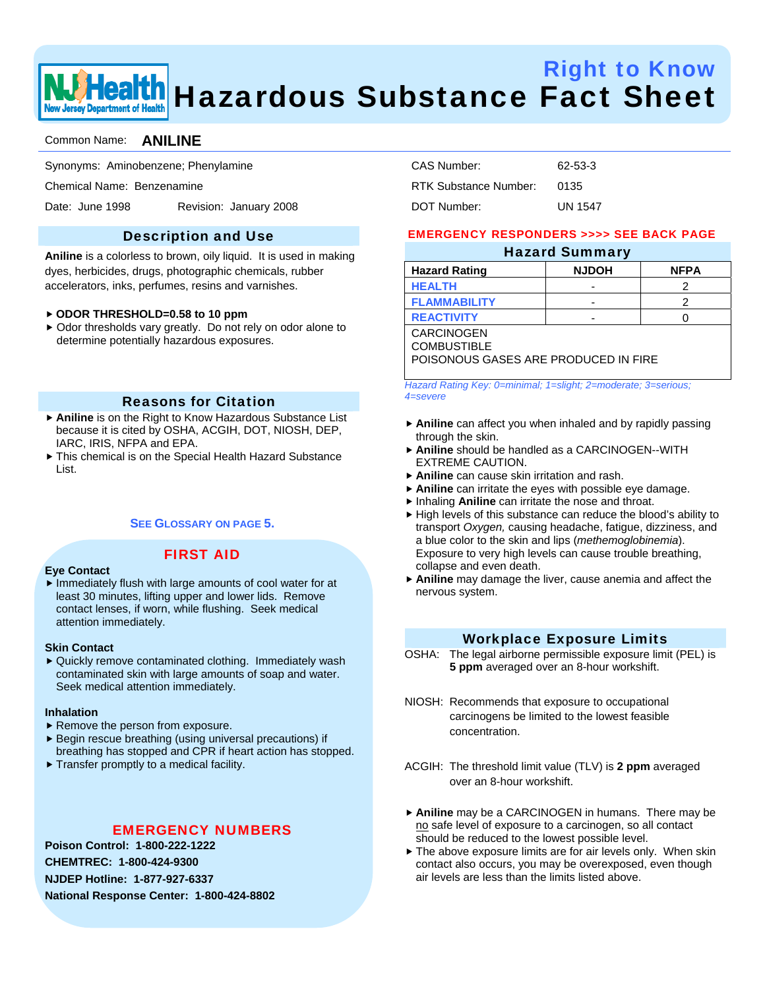

# Right to Know ealth Hazardous Substance Fact Sheet

# Common Name: **ANILINE**

Synonyms: Aminobenzene; Phenylamine

Chemical Name: Benzenamine

Date: June 1998 Revision: January 2008

# Description and Use

**Aniline** is a colorless to brown, oily liquid. It is used in making dyes, herbicides, drugs, photographic chemicals, rubber accelerators, inks, perfumes, resins and varnishes.

#### f **ODOR THRESHOLD=0.58 to 10 ppm**

 $\triangleright$  Odor thresholds vary greatly. Do not rely on odor alone to determine potentially hazardous exposures.

# Reasons for Citation

- ▶ Aniline is on the Right to Know Hazardous Substance List because it is cited by OSHA, ACGIH, DOT, NIOSH, DEP, IARC, IRIS, NFPA and EPA.
- $\triangleright$  This chemical is on the Special Health Hazard Substance List.

#### **SEE GLOSSARY ON PAGE 5.**

# FIRST AID

#### **Eye Contact**

 $\blacktriangleright$  Immediately flush with large amounts of cool water for at least 30 minutes, lifting upper and lower lids. Remove contact lenses, if worn, while flushing. Seek medical attention immediately.

#### **Skin Contact**

 $\blacktriangleright$  Quickly remove contaminated clothing. Immediately wash contaminated skin with large amounts of soap and water. Seek medical attention immediately.

#### **Inhalation**

- $\blacktriangleright$  Remove the person from exposure.
- $\blacktriangleright$  Begin rescue breathing (using universal precautions) if breathing has stopped and CPR if heart action has stopped.
- $\blacktriangleright$  Transfer promptly to a medical facility.

# EMERGENCY NUMBERS

**Poison Control: 1-800-222-1222 CHEMTREC: 1-800-424-9300 NJDEP Hotline: 1-877-927-6337** 

**National Response Center: 1-800-424-8802** 

| CAS Number:           | 62-53-3 |
|-----------------------|---------|
| RTK Substance Number: | 0135    |
| DOT Number:           | UN 1547 |

# EMERGENCY RESPONDERS >>>> SEE BACK PAGE

# Hazard Summary **Hazard Rating NJDOH NFPA**

| <b>Hazard Rating</b> | NJUUH | NFFA |
|----------------------|-------|------|
| <b>HEALTH</b>        |       |      |
| <b>FLAMMABILITY</b>  |       |      |
| <b>REACTIVITY</b>    | -     |      |
| <b>CARCINOGEN</b>    |       |      |

**COMBUSTIBLE** 

POISONOUS GASES ARE PRODUCED IN FIRE

*Hazard Rating Key: 0=minimal; 1=slight; 2=moderate; 3=serious; 4=severe*

- **Aniline** can affect you when inhaled and by rapidly passing through the skin.
- ▶ Aniline should be handled as a CARCINOGEN--WITH EXTREME CAUTION.
- ▶ Aniline can cause skin irritation and rash.
- **Aniline** can irritate the eyes with possible eye damage.
- **F** Inhaling Aniline can irritate the nose and throat.
- $\blacktriangleright$  High levels of this substance can reduce the blood's ability to transport *Oxygen,* causing headache, fatigue, dizziness, and a blue color to the skin and lips (*methemoglobinemia*). Exposure to very high levels can cause trouble breathing, collapse and even death.
- **Aniline** may damage the liver, cause anemia and affect the nervous system.

# Workplace Exposure Limits

- OSHA: The legal airborne permissible exposure limit (PEL) is **5 ppm** averaged over an 8-hour workshift.
- NIOSH: Recommends that exposure to occupational carcinogens be limited to the lowest feasible concentration.
- ACGIH: The threshold limit value (TLV) is **2 ppm** averaged over an 8-hour workshift.
- **Aniline** may be a CARCINOGEN in humans. There may be no safe level of exposure to a carcinogen, so all contact should be reduced to the lowest possible level.
- $\blacktriangleright$  The above exposure limits are for air levels only. When skin contact also occurs, you may be overexposed, even though air levels are less than the limits listed above.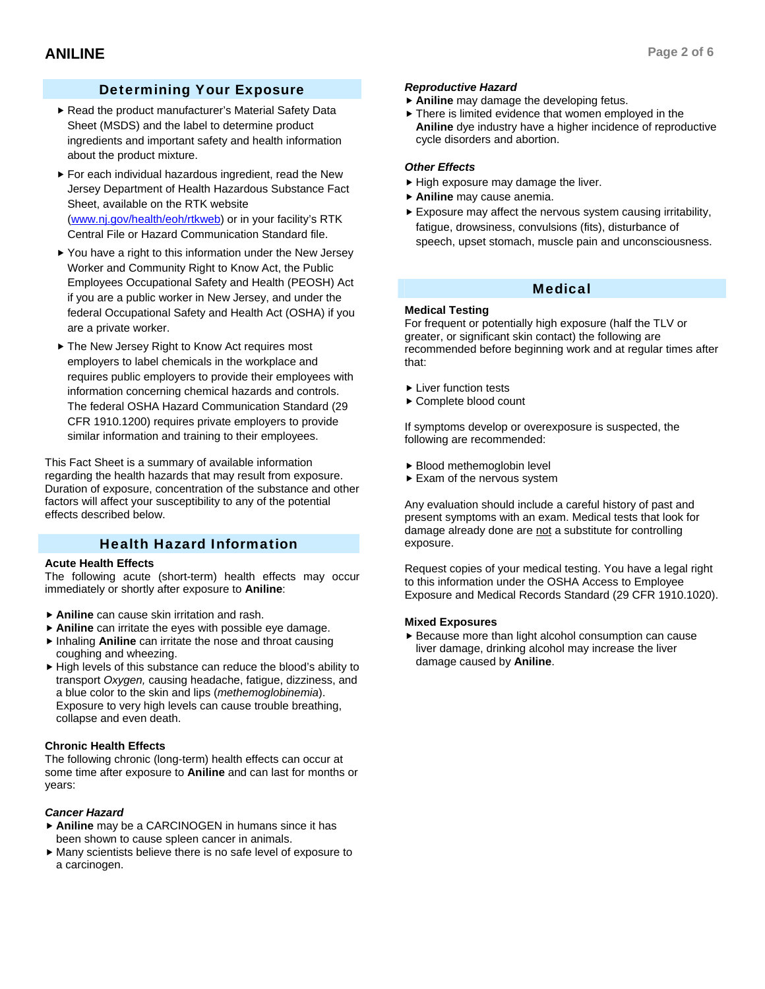- Read the product manufacturer's Material Safety Data Sheet (MSDS) and the label to determine product ingredients and important safety and health information about the product mixture.
- $\blacktriangleright$  For each individual hazardous ingredient, read the New Jersey Department of Health Hazardous Substance Fact Sheet, available on the RTK website (www.nj.gov/health/eoh/rtkweb) or in your facility's RTK Central File or Hazard Communication Standard file.
- $\blacktriangleright$  You have a right to this information under the New Jersey Worker and Community Right to Know Act, the Public Employees Occupational Safety and Health (PEOSH) Act if you are a public worker in New Jersey, and under the federal Occupational Safety and Health Act (OSHA) if you are a private worker.
- ▶ The New Jersey Right to Know Act requires most employers to label chemicals in the workplace and requires public employers to provide their employees with information concerning chemical hazards and controls. The federal OSHA Hazard Communication Standard (29 CFR 1910.1200) requires private employers to provide similar information and training to their employees.

This Fact Sheet is a summary of available information regarding the health hazards that may result from exposure. Duration of exposure, concentration of the substance and other factors will affect your susceptibility to any of the potential effects described below.

# Health Hazard Information

#### **Acute Health Effects**

The following acute (short-term) health effects may occur immediately or shortly after exposure to **Aniline**:

- **Aniline** can cause skin irritation and rash.
- **Aniline** can irritate the eyes with possible eye damage.
- **F** Inhaling Aniline can irritate the nose and throat causing coughing and wheezing.
- $\blacktriangleright$  High levels of this substance can reduce the blood's ability to transport *Oxygen,* causing headache, fatigue, dizziness, and a blue color to the skin and lips (*methemoglobinemia*). Exposure to very high levels can cause trouble breathing, collapse and even death.

# **Chronic Health Effects**

The following chronic (long-term) health effects can occur at some time after exposure to **Aniline** and can last for months or years:

# *Cancer Hazard*

- **Aniline** may be a CARCINOGEN in humans since it has been shown to cause spleen cancer in animals.
- $\blacktriangleright$  Many scientists believe there is no safe level of exposure to a carcinogen.

# *Reproductive Hazard*

- **Aniline** may damage the developing fetus.
- $\blacktriangleright$  There is limited evidence that women employed in the **Aniline** dye industry have a higher incidence of reproductive cycle disorders and abortion.

### *Other Effects*

- $\blacktriangleright$  High exposure may damage the liver.
- **Aniline** may cause anemia.
- $\blacktriangleright$  Exposure may affect the nervous system causing irritability, fatigue, drowsiness, convulsions (fits), disturbance of speech, upset stomach, muscle pain and unconsciousness.

# Medical

# **Medical Testing**

For frequent or potentially high exposure (half the TLV or greater, or significant skin contact) the following are recommended before beginning work and at regular times after that:

- $\blacktriangleright$  Liver function tests
- ▶ Complete blood count

If symptoms develop or overexposure is suspected, the following are recommended:

- $\blacktriangleright$  Blood methemoglobin level
- $\blacktriangleright$  Exam of the nervous system

Any evaluation should include a careful history of past and present symptoms with an exam. Medical tests that look for damage already done are not a substitute for controlling exposure.

Request copies of your medical testing. You have a legal right to this information under the OSHA Access to Employee Exposure and Medical Records Standard (29 CFR 1910.1020).

# **Mixed Exposures**

 $\blacktriangleright$  Because more than light alcohol consumption can cause liver damage, drinking alcohol may increase the liver damage caused by **Aniline**.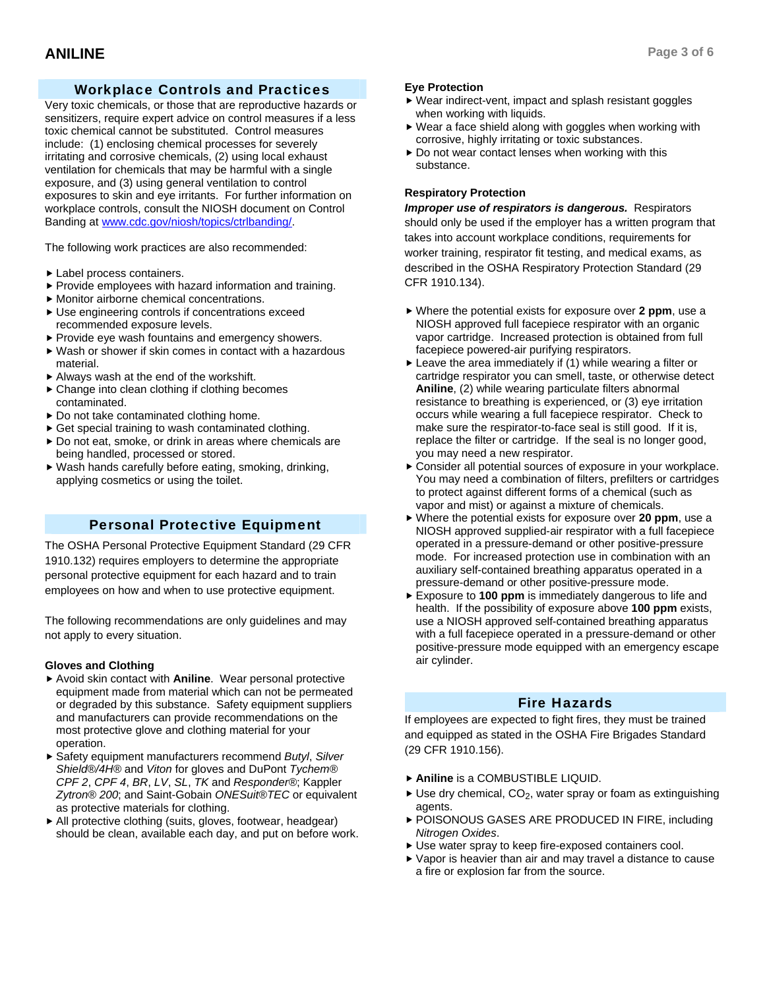# Workplace Controls and Practices

Very toxic chemicals, or those that are reproductive hazards or sensitizers, require expert advice on control measures if a less toxic chemical cannot be substituted. Control measures include: (1) enclosing chemical processes for severely irritating and corrosive chemicals, (2) using local exhaust ventilation for chemicals that may be harmful with a single exposure, and (3) using general ventilation to control exposures to skin and eye irritants. For further information on workplace controls, consult the NIOSH document on Control Banding at www.cdc.gov/niosh/topics/ctrlbanding/.

The following work practices are also recommended:

- $\blacktriangleright$  Label process containers.
- $\blacktriangleright$  Provide employees with hazard information and training.
- $\blacktriangleright$  Monitor airborne chemical concentrations.
- $\blacktriangleright$  Use engineering controls if concentrations exceed recommended exposure levels.
- $\blacktriangleright$  Provide eye wash fountains and emergency showers.
- $\blacktriangleright$  Wash or shower if skin comes in contact with a hazardous material.
- $\blacktriangleright$  Always wash at the end of the workshift.
- $\triangleright$  Change into clean clothing if clothing becomes contaminated.
- $\triangleright$  Do not take contaminated clothing home.
- $\triangleright$  Get special training to wash contaminated clothing.
- $\triangleright$  Do not eat, smoke, or drink in areas where chemicals are being handled, processed or stored.
- $\blacktriangleright$  Wash hands carefully before eating, smoking, drinking, applying cosmetics or using the toilet.

# Personal Protective Equipment

The OSHA Personal Protective Equipment Standard (29 CFR 1910.132) requires employers to determine the appropriate personal protective equipment for each hazard and to train employees on how and when to use protective equipment.

The following recommendations are only guidelines and may not apply to every situation.

#### **Gloves and Clothing**

- ▶ Avoid skin contact with **Aniline**. Wear personal protective equipment made from material which can not be permeated or degraded by this substance. Safety equipment suppliers and manufacturers can provide recommendations on the most protective glove and clothing material for your operation.
- f Safety equipment manufacturers recommend *Butyl*, *Silver Shield®/4H®* and *Viton* for gloves and DuPont *Tychem® CPF 2*, *CPF 4*, *BR*, *LV*, *SL*, *TK* and *Responder®*; Kappler *Zytron® 200*; and Saint-Gobain *ONESuit®TEC* or equivalent as protective materials for clothing.
- $\blacktriangleright$  All protective clothing (suits, gloves, footwear, headgear) should be clean, available each day, and put on before work.

#### **Eye Protection**

- $\blacktriangleright$  Wear indirect-vent, impact and splash resistant goggles when working with liquids.
- $\blacktriangleright$  Wear a face shield along with goggles when working with corrosive, highly irritating or toxic substances.
- $\triangleright$  Do not wear contact lenses when working with this substance.

#### **Respiratory Protection**

*Improper use of respirators is dangerous.* Respirators should only be used if the employer has a written program that takes into account workplace conditions, requirements for worker training, respirator fit testing, and medical exams, as described in the OSHA Respiratory Protection Standard (29 CFR 1910.134).

- ▶ Where the potential exists for exposure over 2 ppm, use a NIOSH approved full facepiece respirator with an organic vapor cartridge. Increased protection is obtained from full facepiece powered-air purifying respirators.
- $\blacktriangleright$  Leave the area immediately if (1) while wearing a filter or cartridge respirator you can smell, taste, or otherwise detect **Aniline**, (2) while wearing particulate filters abnormal resistance to breathing is experienced, or (3) eye irritation occurs while wearing a full facepiece respirator. Check to make sure the respirator-to-face seal is still good. If it is, replace the filter or cartridge. If the seal is no longer good, you may need a new respirator.
- $\triangleright$  Consider all potential sources of exposure in your workplace. You may need a combination of filters, prefilters or cartridges to protect against different forms of a chemical (such as vapor and mist) or against a mixture of chemicals.
- ▶ Where the potential exists for exposure over 20 ppm, use a NIOSH approved supplied-air respirator with a full facepiece operated in a pressure-demand or other positive-pressure mode. For increased protection use in combination with an auxiliary self-contained breathing apparatus operated in a pressure-demand or other positive-pressure mode.
- Exposure to **100 ppm** is immediately dangerous to life and health. If the possibility of exposure above **100 ppm** exists, use a NIOSH approved self-contained breathing apparatus with a full facepiece operated in a pressure-demand or other positive-pressure mode equipped with an emergency escape air cylinder.

# Fire Hazards

If employees are expected to fight fires, they must be trained and equipped as stated in the OSHA Fire Brigades Standard (29 CFR 1910.156).

- **Aniline** is a COMBUSTIBLE LIQUID.
- $\blacktriangleright$  Use dry chemical, CO<sub>2</sub>, water spray or foam as extinguishing agents.
- **POISONOUS GASES ARE PRODUCED IN FIRE, including** *Nitrogen Oxides*.
- Use water spray to keep fire-exposed containers cool.
- $\blacktriangleright$  Vapor is heavier than air and may travel a distance to cause a fire or explosion far from the source.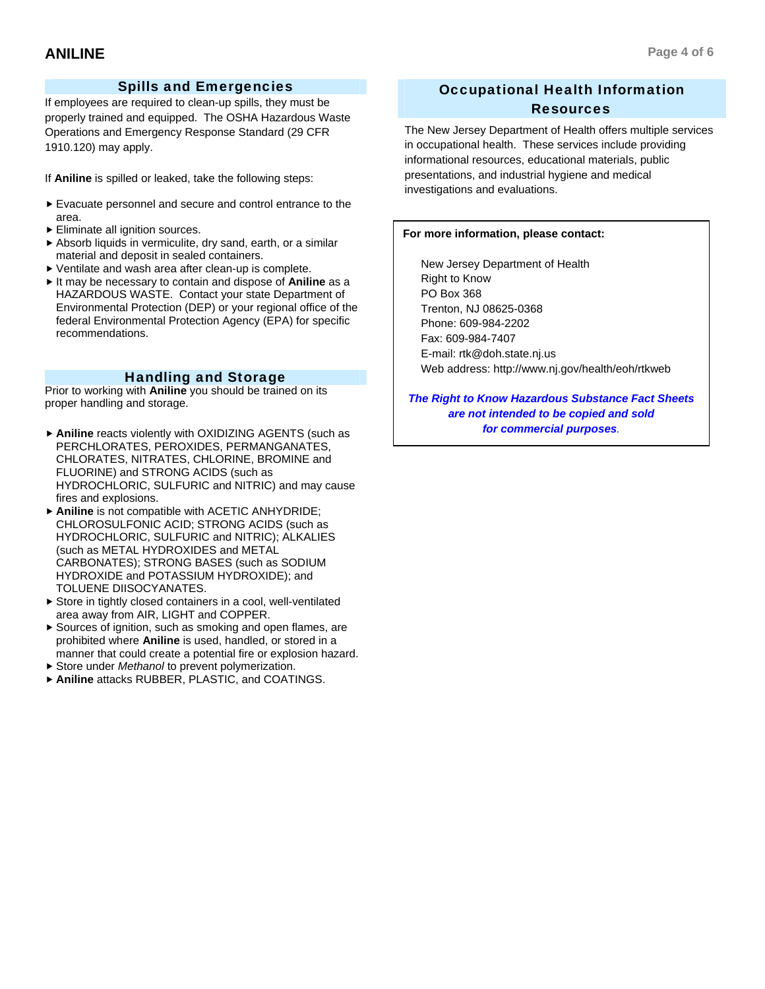# Spills and Emergencies

If employees are required to clean-up spills, they must be properly trained and equipped. The OSHA Hazardous Waste Operations and Emergency Response Standard (29 CFR 1910.120) may apply.

If **Aniline** is spilled or leaked, take the following steps:

- $\blacktriangleright$  Evacuate personnel and secure and control entrance to the area.
- $\blacktriangleright$  Eliminate all ignition sources.
- $\blacktriangleright$  Absorb liquids in vermiculite, dry sand, earth, or a similar material and deposit in sealed containers.
- $\blacktriangleright$  Ventilate and wash area after clean-up is complete.
- $\blacktriangleright$  It may be necessary to contain and dispose of **Aniline** as a HAZARDOUS WASTE. Contact your state Department of Environmental Protection (DEP) or your regional office of the federal Environmental Protection Agency (EPA) for specific recommendations.

# Handling and Storage

Prior to working with **Aniline** you should be trained on its proper handling and storage.

- **Aniline** reacts violently with OXIDIZING AGENTS (such as PERCHLORATES, PEROXIDES, PERMANGANATES, CHLORATES, NITRATES, CHLORINE, BROMINE and FLUORINE) and STRONG ACIDS (such as HYDROCHLORIC, SULFURIC and NITRIC) and may cause fires and explosions.
- **► Aniline** is not compatible with ACETIC ANHYDRIDE: CHLOROSULFONIC ACID; STRONG ACIDS (such as HYDROCHLORIC, SULFURIC and NITRIC); ALKALIES (such as METAL HYDROXIDES and METAL CARBONATES); STRONG BASES (such as SODIUM HYDROXIDE and POTASSIUM HYDROXIDE); and TOLUENE DIISOCYANATES.
- $\triangleright$  Store in tightly closed containers in a cool, well-ventilated area away from AIR, LIGHT and COPPER.
- $\blacktriangleright$  Sources of ignition, such as smoking and open flames, are prohibited where **Aniline** is used, handled, or stored in a manner that could create a potential fire or explosion hazard.
- Store under Methanol to prevent polymerization.
- **Aniline** attacks RUBBER, PLASTIC, and COATINGS.

# Occupational Health Information Resources

The New Jersey Department of Health offers multiple services in occupational health. These services include providing informational resources, educational materials, public presentations, and industrial hygiene and medical investigations and evaluations.

# **For more information, please contact:**

 New Jersey Department of Health Right to Know PO Box 368 Trenton, NJ 08625-0368 Phone: 609-984-2202 Fax: 609-984-7407 E-mail: rtk@doh.state.nj.us Web address: http://www.nj.gov/health/eoh/rtkweb

*The Right to Know Hazardous Substance Fact Sheets are not intended to be copied and sold for commercial purposes.*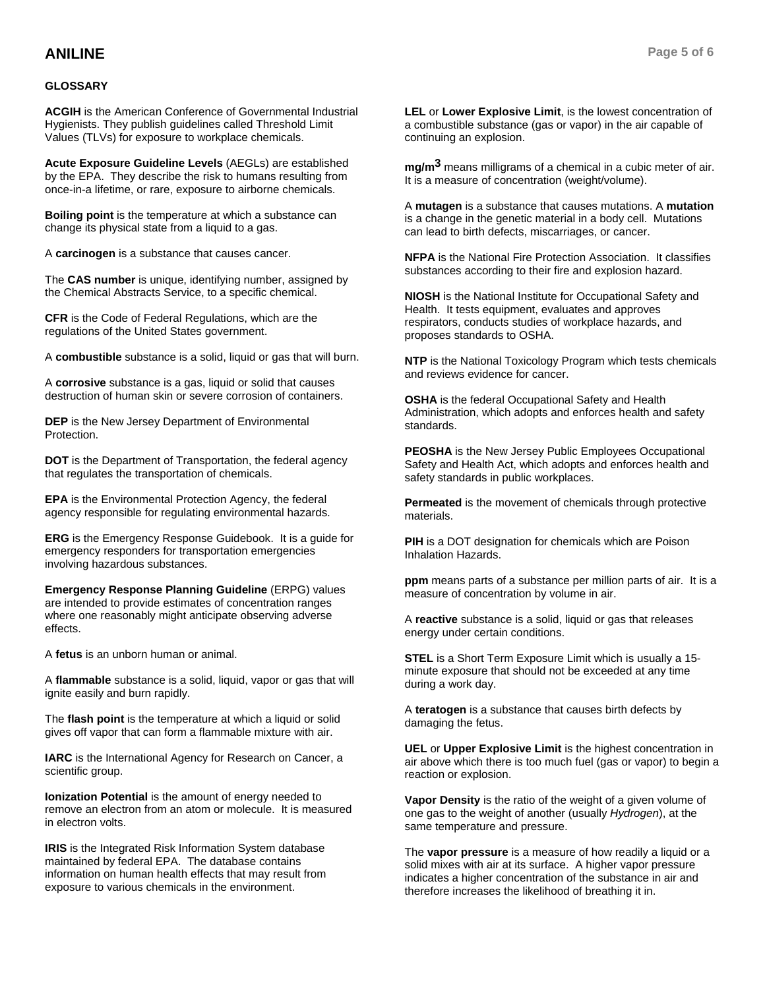# **ANILINE** Page 5 of 6

#### **GLOSSARY**

**ACGIH** is the American Conference of Governmental Industrial Hygienists. They publish guidelines called Threshold Limit Values (TLVs) for exposure to workplace chemicals.

**Acute Exposure Guideline Levels** (AEGLs) are established by the EPA. They describe the risk to humans resulting from once-in-a lifetime, or rare, exposure to airborne chemicals.

**Boiling point** is the temperature at which a substance can change its physical state from a liquid to a gas.

A **carcinogen** is a substance that causes cancer.

The **CAS number** is unique, identifying number, assigned by the Chemical Abstracts Service, to a specific chemical.

**CFR** is the Code of Federal Regulations, which are the regulations of the United States government.

A **combustible** substance is a solid, liquid or gas that will burn.

A **corrosive** substance is a gas, liquid or solid that causes destruction of human skin or severe corrosion of containers.

**DEP** is the New Jersey Department of Environmental Protection.

**DOT** is the Department of Transportation, the federal agency that regulates the transportation of chemicals.

**EPA** is the Environmental Protection Agency, the federal agency responsible for regulating environmental hazards.

**ERG** is the Emergency Response Guidebook. It is a guide for emergency responders for transportation emergencies involving hazardous substances.

**Emergency Response Planning Guideline** (ERPG) values are intended to provide estimates of concentration ranges where one reasonably might anticipate observing adverse effects.

A **fetus** is an unborn human or animal.

A **flammable** substance is a solid, liquid, vapor or gas that will ignite easily and burn rapidly.

The **flash point** is the temperature at which a liquid or solid gives off vapor that can form a flammable mixture with air.

**IARC** is the International Agency for Research on Cancer, a scientific group.

**Ionization Potential** is the amount of energy needed to remove an electron from an atom or molecule. It is measured in electron volts.

**IRIS** is the Integrated Risk Information System database maintained by federal EPA. The database contains information on human health effects that may result from exposure to various chemicals in the environment.

**LEL** or **Lower Explosive Limit**, is the lowest concentration of a combustible substance (gas or vapor) in the air capable of continuing an explosion.

**mg/m3** means milligrams of a chemical in a cubic meter of air. It is a measure of concentration (weight/volume).

A **mutagen** is a substance that causes mutations. A **mutation** is a change in the genetic material in a body cell. Mutations can lead to birth defects, miscarriages, or cancer.

**NFPA** is the National Fire Protection Association. It classifies substances according to their fire and explosion hazard.

**NIOSH** is the National Institute for Occupational Safety and Health. It tests equipment, evaluates and approves respirators, conducts studies of workplace hazards, and proposes standards to OSHA.

**NTP** is the National Toxicology Program which tests chemicals and reviews evidence for cancer.

**OSHA** is the federal Occupational Safety and Health Administration, which adopts and enforces health and safety standards.

**PEOSHA** is the New Jersey Public Employees Occupational Safety and Health Act, which adopts and enforces health and safety standards in public workplaces.

**Permeated** is the movement of chemicals through protective materials.

**PIH** is a DOT designation for chemicals which are Poison Inhalation Hazards.

**ppm** means parts of a substance per million parts of air. It is a measure of concentration by volume in air.

A **reactive** substance is a solid, liquid or gas that releases energy under certain conditions.

**STEL** is a Short Term Exposure Limit which is usually a 15 minute exposure that should not be exceeded at any time during a work day.

A **teratogen** is a substance that causes birth defects by damaging the fetus.

**UEL** or **Upper Explosive Limit** is the highest concentration in air above which there is too much fuel (gas or vapor) to begin a reaction or explosion.

**Vapor Density** is the ratio of the weight of a given volume of one gas to the weight of another (usually *Hydrogen*), at the same temperature and pressure.

The **vapor pressure** is a measure of how readily a liquid or a solid mixes with air at its surface. A higher vapor pressure indicates a higher concentration of the substance in air and therefore increases the likelihood of breathing it in.